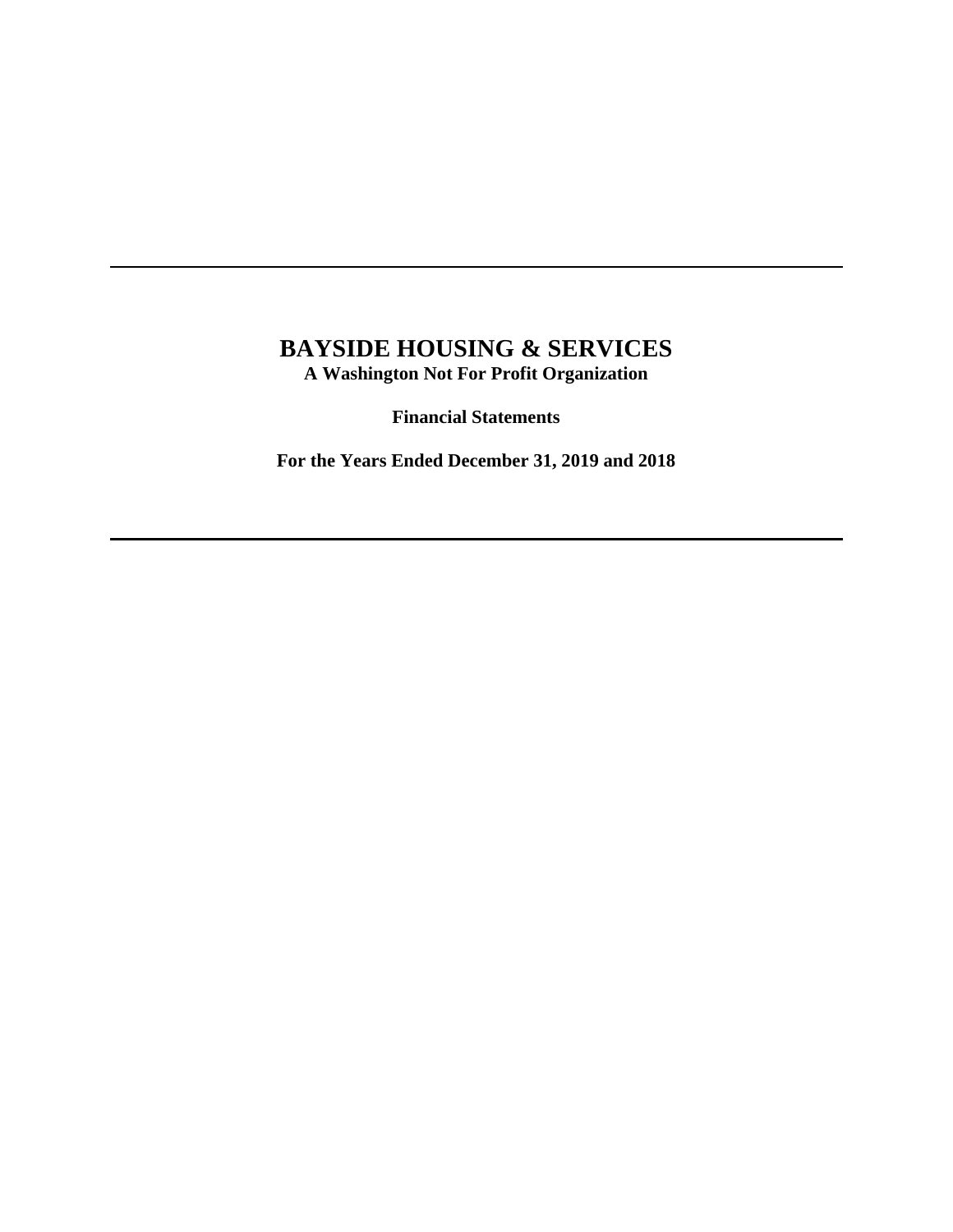## **BAYSIDE HOUSING & SERVICES A Washington Not For Profit Organization**

**Financial Statements** 

**For the Years Ended December 31, 2019 and 2018**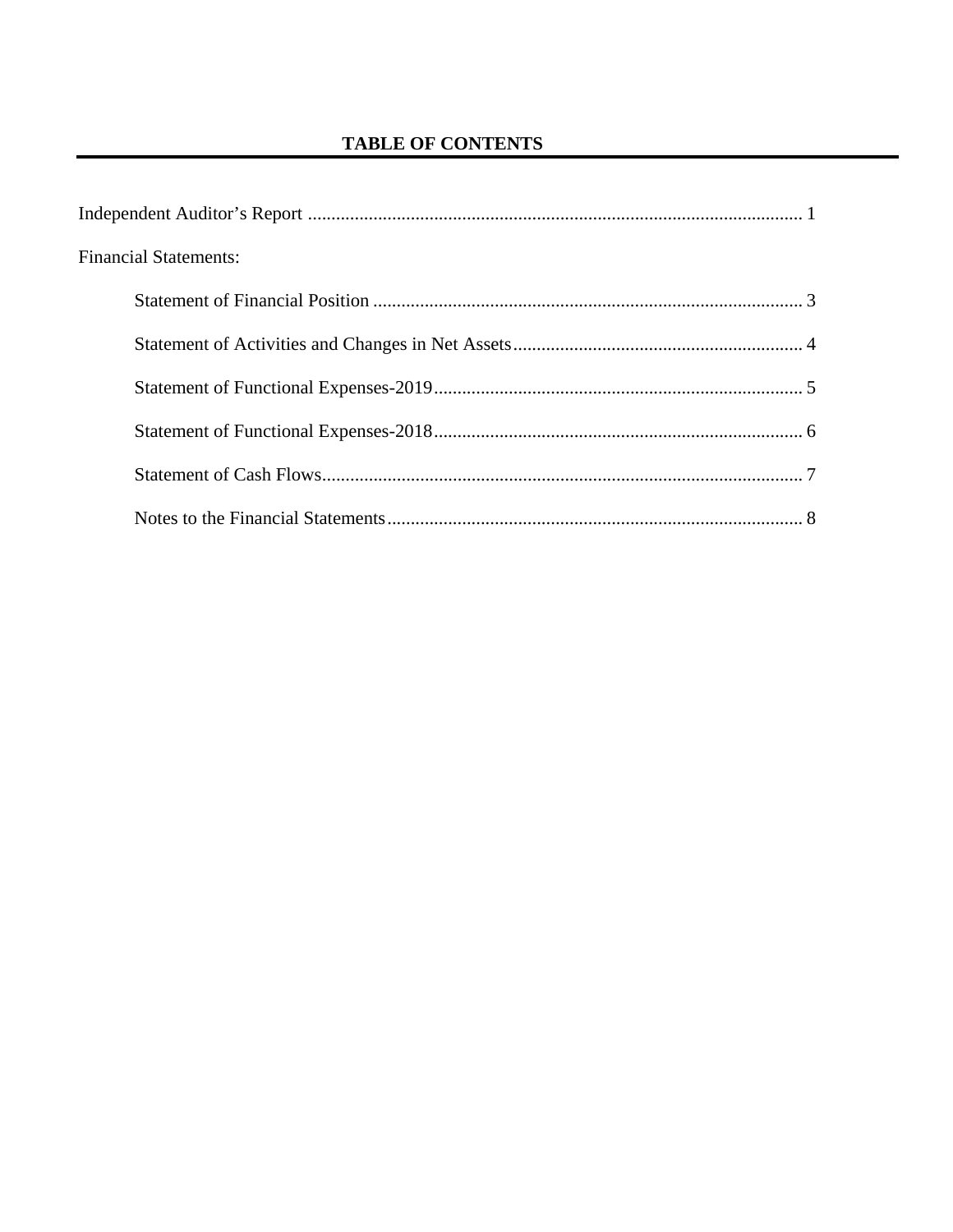| <b>Financial Statements:</b> |  |
|------------------------------|--|
|                              |  |
|                              |  |
|                              |  |
|                              |  |
|                              |  |
|                              |  |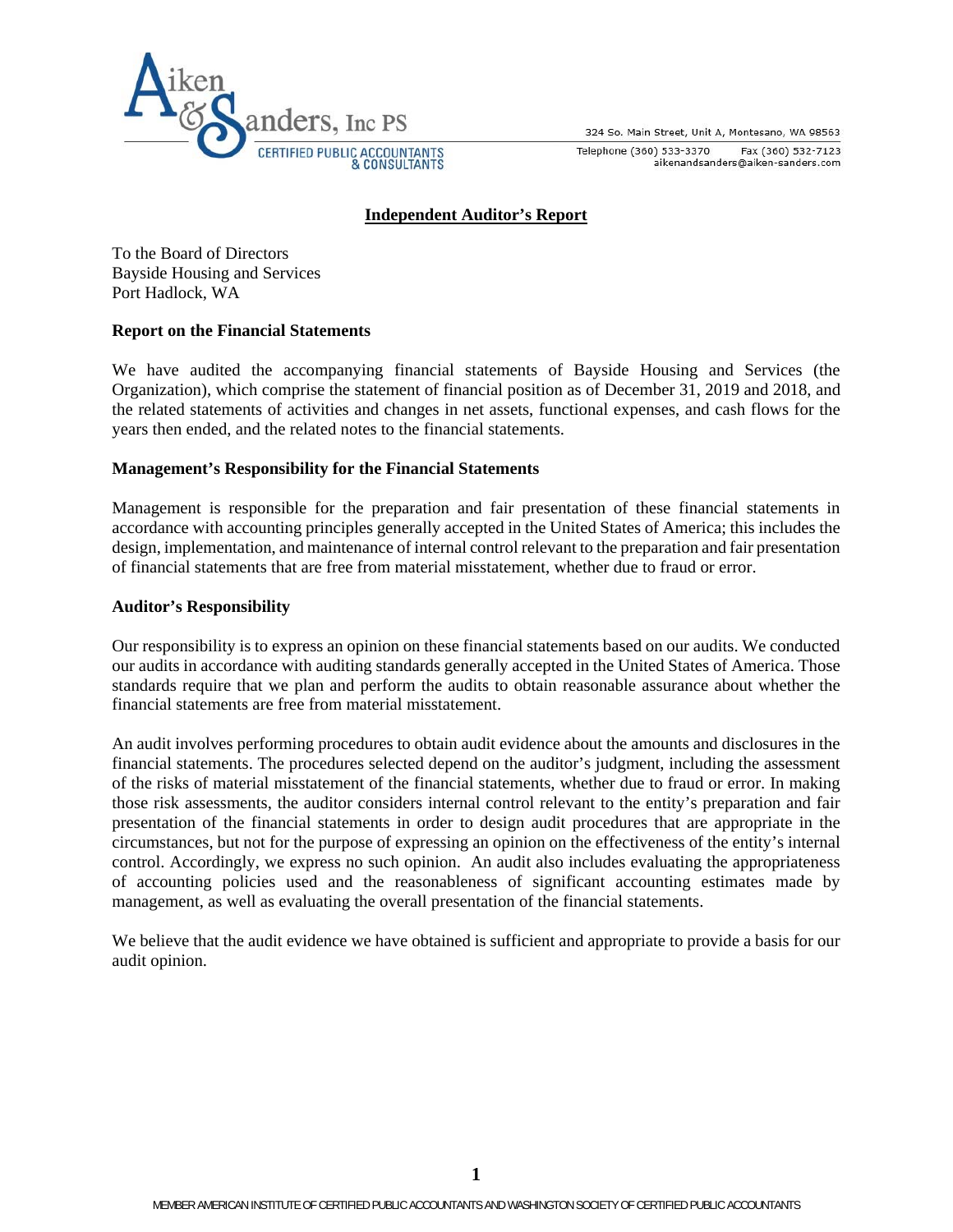



Telephone (360) 533-3370 Fax (360) 532-7123 aikenandsanders@aiken-sanders.com

#### **Independent Auditor's Report**

To the Board of Directors Bayside Housing and Services Port Hadlock, WA

#### **Report on the Financial Statements**

We have audited the accompanying financial statements of Bayside Housing and Services (the Organization), which comprise the statement of financial position as of December 31, 2019 and 2018, and the related statements of activities and changes in net assets, functional expenses, and cash flows for the years then ended, and the related notes to the financial statements.

#### **Management's Responsibility for the Financial Statements**

Management is responsible for the preparation and fair presentation of these financial statements in accordance with accounting principles generally accepted in the United States of America; this includes the design, implementation, and maintenance of internal control relevant to the preparation and fair presentation of financial statements that are free from material misstatement, whether due to fraud or error.

#### **Auditor's Responsibility**

Our responsibility is to express an opinion on these financial statements based on our audits. We conducted our audits in accordance with auditing standards generally accepted in the United States of America. Those standards require that we plan and perform the audits to obtain reasonable assurance about whether the financial statements are free from material misstatement.

An audit involves performing procedures to obtain audit evidence about the amounts and disclosures in the financial statements. The procedures selected depend on the auditor's judgment, including the assessment of the risks of material misstatement of the financial statements, whether due to fraud or error. In making those risk assessments, the auditor considers internal control relevant to the entity's preparation and fair presentation of the financial statements in order to design audit procedures that are appropriate in the circumstances, but not for the purpose of expressing an opinion on the effectiveness of the entity's internal control. Accordingly, we express no such opinion. An audit also includes evaluating the appropriateness of accounting policies used and the reasonableness of significant accounting estimates made by management, as well as evaluating the overall presentation of the financial statements.

We believe that the audit evidence we have obtained is sufficient and appropriate to provide a basis for our audit opinion.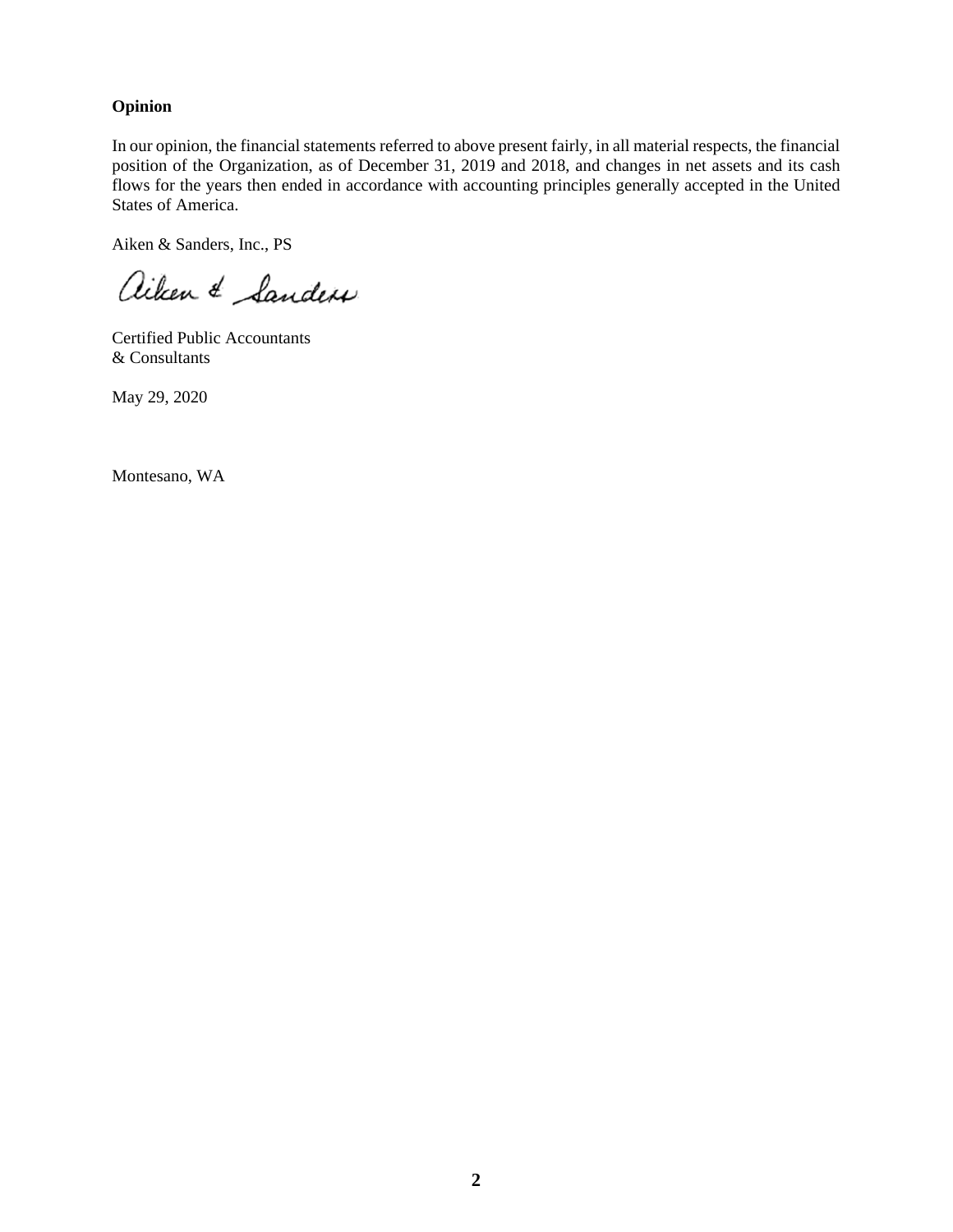## **Opinion**

In our opinion, the financial statements referred to above present fairly, in all material respects, the financial position of the Organization, as of December 31, 2019 and 2018, and changes in net assets and its cash flows for the years then ended in accordance with accounting principles generally accepted in the United States of America.

Aiken & Sanders, Inc., PS

aiken & Sanders

Certified Public Accountants & Consultants

May 29, 2020

Montesano, WA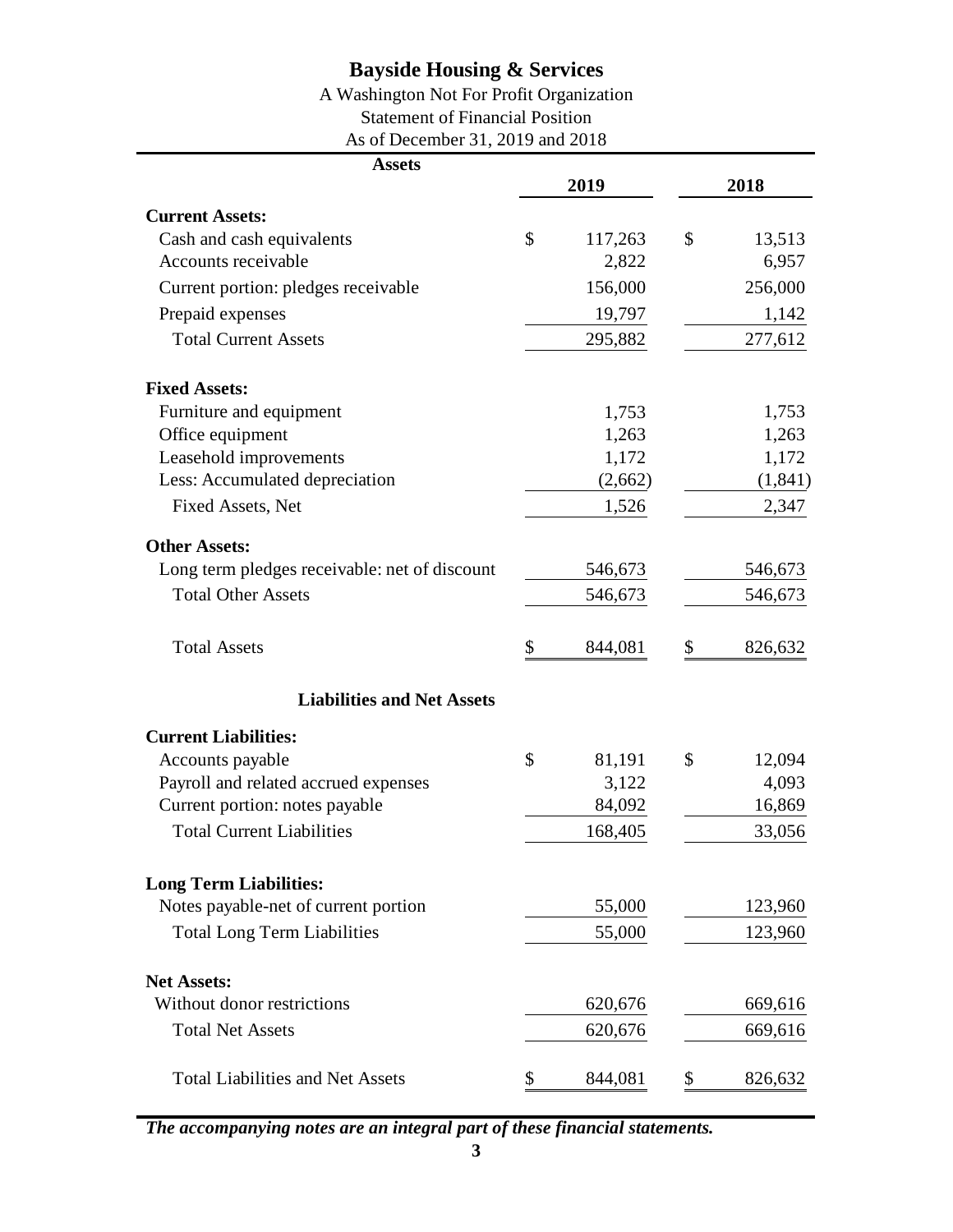# A Washington Not For Profit Organization

Statement of Financial Position

| As of December 31, 2019 and 2018 |
|----------------------------------|
|----------------------------------|

| <b>Assets</b>                                 |               |               |
|-----------------------------------------------|---------------|---------------|
|                                               | 2019          | 2018          |
| <b>Current Assets:</b>                        |               |               |
| Cash and cash equivalents                     | \$<br>117,263 | \$<br>13,513  |
| Accounts receivable                           | 2,822         | 6,957         |
| Current portion: pledges receivable           | 156,000       | 256,000       |
| Prepaid expenses                              | 19,797        | 1,142         |
| <b>Total Current Assets</b>                   | 295,882       | 277,612       |
| <b>Fixed Assets:</b>                          |               |               |
| Furniture and equipment                       | 1,753         | 1,753         |
| Office equipment                              | 1,263         | 1,263         |
| Leasehold improvements                        | 1,172         | 1,172         |
| Less: Accumulated depreciation                | (2,662)       | (1, 841)      |
| Fixed Assets, Net                             | 1,526         | 2,347         |
| <b>Other Assets:</b>                          |               |               |
| Long term pledges receivable: net of discount | 546,673       | 546,673       |
| <b>Total Other Assets</b>                     | 546,673       | 546,673       |
| <b>Total Assets</b>                           | \$<br>844,081 | \$<br>826,632 |
| <b>Liabilities and Net Assets</b>             |               |               |
| <b>Current Liabilities:</b>                   |               |               |
| Accounts payable                              | \$<br>81,191  | \$<br>12,094  |
| Payroll and related accrued expenses          | 3,122         | 4,093         |
| Current portion: notes payable                | 84,092        | 16,869        |
| <b>Total Current Liabilities</b>              | 168,405       | 33,056        |
| <b>Long Term Liabilities:</b>                 |               |               |
| Notes payable-net of current portion          | 55,000        | 123,960       |
| <b>Total Long Term Liabilities</b>            | 55,000        | 123,960       |
| <b>Net Assets:</b>                            |               |               |
| Without donor restrictions                    | 620,676       | 669,616       |
| <b>Total Net Assets</b>                       | 620,676       | 669,616       |
| <b>Total Liabilities and Net Assets</b>       | \$<br>844,081 | \$<br>826,632 |
|                                               |               |               |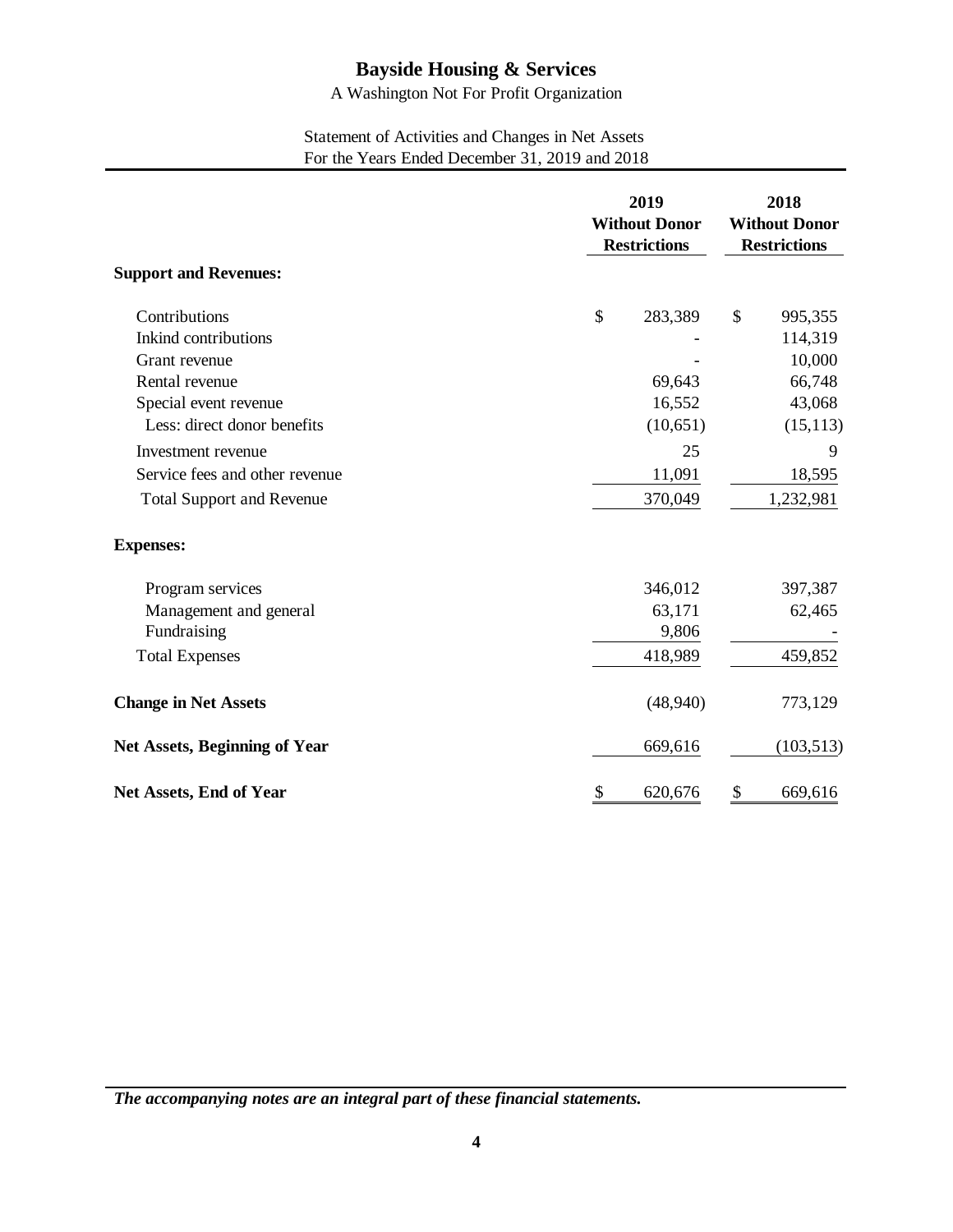A Washington Not For Profit Organization

#### Statement of Activities and Changes in Net Assets For the Years Ended December 31, 2019 and 2018

|                                                                                                                                                                                                                              | 2019<br><b>Without Donor</b><br><b>Restrictions</b>                       |    | 2018<br><b>Without Donor</b><br><b>Restrictions</b>                                       |
|------------------------------------------------------------------------------------------------------------------------------------------------------------------------------------------------------------------------------|---------------------------------------------------------------------------|----|-------------------------------------------------------------------------------------------|
| <b>Support and Revenues:</b>                                                                                                                                                                                                 |                                                                           |    |                                                                                           |
| Contributions<br>Inkind contributions<br>Grant revenue<br>Rental revenue<br>Special event revenue<br>Less: direct donor benefits<br>Investment revenue<br>Service fees and other revenue<br><b>Total Support and Revenue</b> | \$<br>283,389<br>69,643<br>16,552<br>(10, 651)<br>25<br>11,091<br>370,049 | \$ | 995,355<br>114,319<br>10,000<br>66,748<br>43,068<br>(15, 113)<br>9<br>18,595<br>1,232,981 |
| <b>Expenses:</b>                                                                                                                                                                                                             |                                                                           |    |                                                                                           |
| Program services<br>Management and general<br>Fundraising<br><b>Total Expenses</b>                                                                                                                                           | 346,012<br>63,171<br>9,806<br>418,989                                     |    | 397,387<br>62,465<br>459,852                                                              |
| <b>Change in Net Assets</b>                                                                                                                                                                                                  | (48,940)                                                                  |    | 773,129                                                                                   |
| <b>Net Assets, Beginning of Year</b>                                                                                                                                                                                         | 669,616                                                                   |    | (103, 513)                                                                                |
| Net Assets, End of Year                                                                                                                                                                                                      | \$<br>620,676                                                             | \$ | 669,616                                                                                   |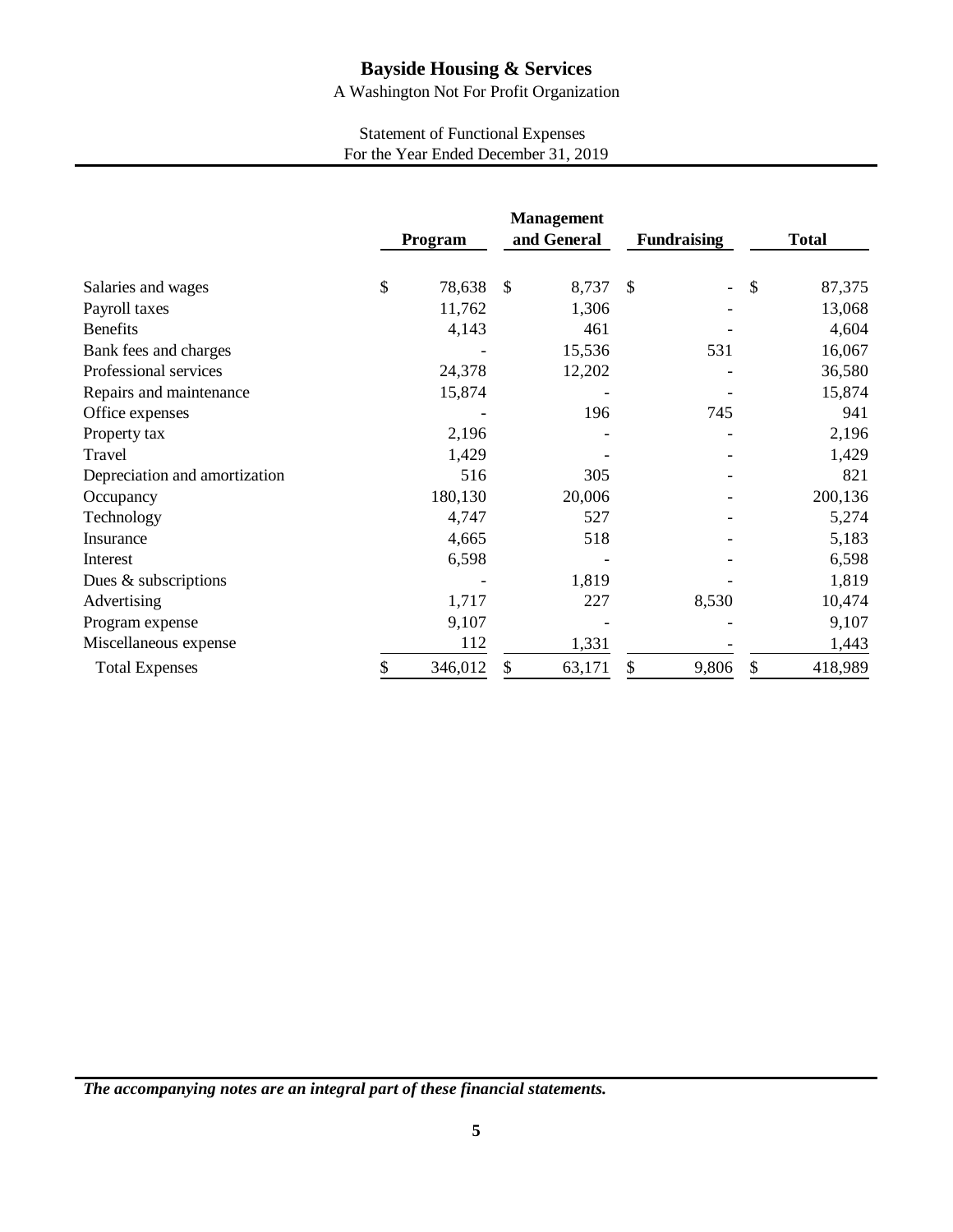A Washington Not For Profit Organization

## Statement of Functional Expenses For the Year Ended December 31, 2019

|                               | Program      | <b>Management</b><br>and General | <b>Fundraising</b>                        | <b>Total</b>  |
|-------------------------------|--------------|----------------------------------|-------------------------------------------|---------------|
| Salaries and wages            | \$<br>78,638 | \$<br>8,737                      | $\mathcal{S}$<br>$\overline{\phantom{a}}$ | \$<br>87,375  |
| Payroll taxes                 | 11,762       | 1,306                            |                                           | 13,068        |
| <b>Benefits</b>               | 4,143        | 461                              |                                           | 4,604         |
| Bank fees and charges         |              | 15,536                           | 531                                       | 16,067        |
| Professional services         | 24,378       | 12,202                           |                                           | 36,580        |
| Repairs and maintenance       | 15,874       |                                  |                                           | 15,874        |
| Office expenses               |              | 196                              | 745                                       | 941           |
| Property tax                  | 2,196        |                                  |                                           | 2,196         |
| Travel                        | 1,429        |                                  |                                           | 1,429         |
| Depreciation and amortization | 516          | 305                              |                                           | 821           |
| Occupancy                     | 180,130      | 20,006                           |                                           | 200,136       |
| Technology                    | 4,747        | 527                              |                                           | 5,274         |
| Insurance                     | 4,665        | 518                              |                                           | 5,183         |
| Interest                      | 6,598        |                                  |                                           | 6,598         |
| Dues & subscriptions          |              | 1,819                            |                                           | 1,819         |
| Advertising                   | 1,717        | 227                              | 8,530                                     | 10,474        |
| Program expense               | 9,107        |                                  |                                           | 9,107         |
| Miscellaneous expense         | 112          | 1,331                            |                                           | 1,443         |
| <b>Total Expenses</b>         | 346,012      | \$<br>63,171                     | \$<br>9,806                               | \$<br>418,989 |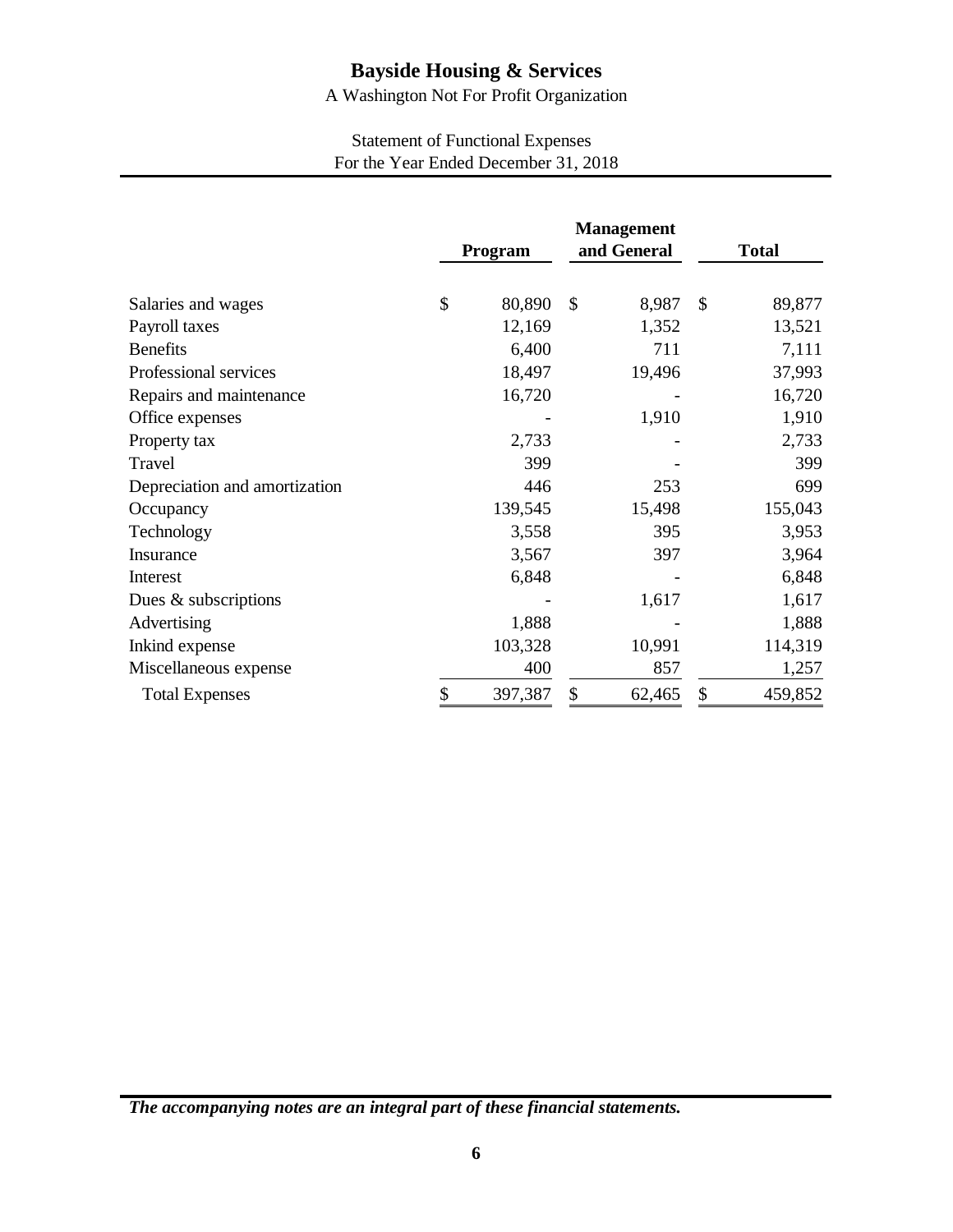A Washington Not For Profit Organization

## Statement of Functional Expenses For the Year Ended December 31, 2018

|                               | Program       |               | <b>Management</b><br>and General | <b>Total</b>  |
|-------------------------------|---------------|---------------|----------------------------------|---------------|
| Salaries and wages            | \$<br>80,890  | $\mathcal{S}$ | 8,987                            | \$<br>89,877  |
| Payroll taxes                 | 12,169        |               | 1,352                            | 13,521        |
| <b>Benefits</b>               | 6,400         |               | 711                              | 7,111         |
| Professional services         | 18,497        |               | 19,496                           | 37,993        |
| Repairs and maintenance       | 16,720        |               |                                  | 16,720        |
| Office expenses               |               |               | 1,910                            | 1,910         |
| Property tax                  | 2,733         |               |                                  | 2,733         |
| Travel                        | 399           |               |                                  | 399           |
| Depreciation and amortization | 446           |               | 253                              | 699           |
| Occupancy                     | 139,545       |               | 15,498                           | 155,043       |
| Technology                    | 3,558         |               | 395                              | 3,953         |
| Insurance                     | 3,567         |               | 397                              | 3,964         |
| Interest                      | 6,848         |               |                                  | 6,848         |
| Dues $&$ subscriptions        |               |               | 1,617                            | 1,617         |
| Advertising                   | 1,888         |               |                                  | 1,888         |
| Inkind expense                | 103,328       |               | 10,991                           | 114,319       |
| Miscellaneous expense         | 400           |               | 857                              | 1,257         |
| <b>Total Expenses</b>         | \$<br>397,387 | \$            | 62,465                           | \$<br>459,852 |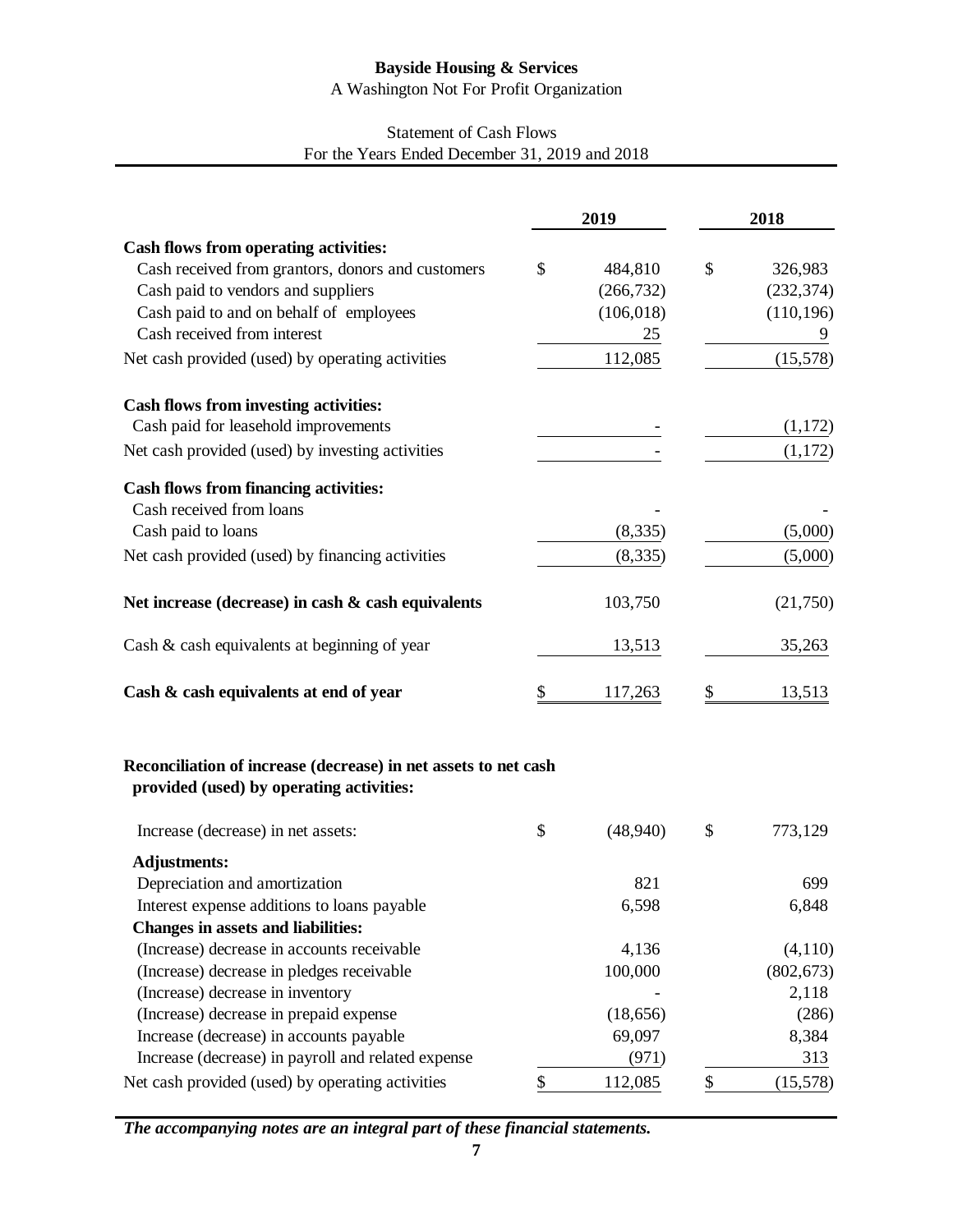A Washington Not For Profit Organization

## Statement of Cash Flows For the Years Ended December 31, 2019 and 2018

|                                                                                                             | 2019           | 2018           |
|-------------------------------------------------------------------------------------------------------------|----------------|----------------|
| <b>Cash flows from operating activities:</b>                                                                |                |                |
| Cash received from grantors, donors and customers                                                           | \$<br>484,810  | \$<br>326,983  |
| Cash paid to vendors and suppliers                                                                          | (266, 732)     | (232, 374)     |
| Cash paid to and on behalf of employees                                                                     | (106, 018)     | (110, 196)     |
| Cash received from interest                                                                                 | 25             | 9              |
| Net cash provided (used) by operating activities                                                            | 112,085        | (15,578)       |
| <b>Cash flows from investing activities:</b>                                                                |                |                |
| Cash paid for leasehold improvements                                                                        |                | (1,172)        |
| Net cash provided (used) by investing activities                                                            |                | (1, 172)       |
| <b>Cash flows from financing activities:</b>                                                                |                |                |
| Cash received from loans                                                                                    |                |                |
| Cash paid to loans                                                                                          | (8, 335)       | (5,000)        |
| Net cash provided (used) by financing activities                                                            | (8, 335)       | (5,000)        |
| Net increase (decrease) in cash & cash equivalents                                                          | 103,750        | (21,750)       |
| Cash $\&$ cash equivalents at beginning of year                                                             | 13,513         | 35,263         |
| Cash & cash equivalents at end of year                                                                      | \$<br>117,263  | \$<br>13,513   |
| Reconciliation of increase (decrease) in net assets to net cash<br>provided (used) by operating activities: |                |                |
| Increase (decrease) in net assets:                                                                          | \$<br>(48,940) | \$<br>773,129  |
| <b>Adjustments:</b>                                                                                         |                |                |
| Depreciation and amortization                                                                               | 821            | 699            |
| Interest expense additions to loans payable                                                                 | 6,598          | 6,848          |
| <b>Changes in assets and liabilities:</b>                                                                   |                |                |
| (Increase) decrease in accounts receivable                                                                  | 4,136          | (4,110)        |
| (Increase) decrease in pledges receivable                                                                   | 100,000        | (802, 673)     |
| (Increase) decrease in inventory                                                                            |                | 2,118          |
| (Increase) decrease in prepaid expense                                                                      | (18, 656)      | (286)          |
| Increase (decrease) in accounts payable                                                                     | 69,097         | 8,384          |
| Increase (decrease) in payroll and related expense                                                          | (971)          | 313            |
| Net cash provided (used) by operating activities                                                            | \$<br>112,085  | \$<br>(15,578) |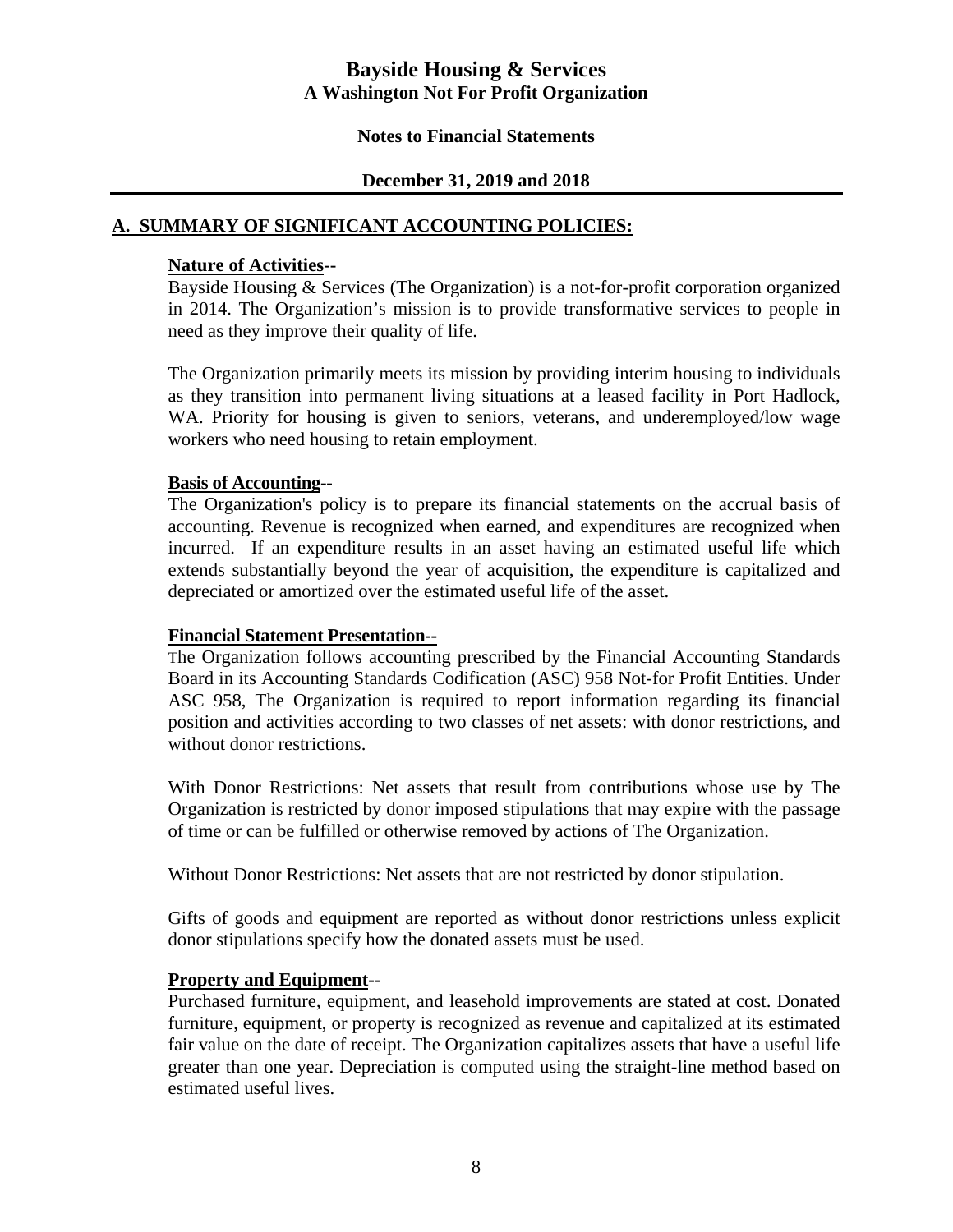#### **Notes to Financial Statements**

### **December 31, 2019 and 2018**

## **A. SUMMARY OF SIGNIFICANT ACCOUNTING POLICIES:**

#### **Nature of Activities--**

 Bayside Housing & Services (The Organization) is a not-for-profit corporation organized in 2014. The Organization's mission is to provide transformative services to people in need as they improve their quality of life.

 The Organization primarily meets its mission by providing interim housing to individuals as they transition into permanent living situations at a leased facility in Port Hadlock, WA. Priority for housing is given to seniors, veterans, and underemployed/low wage workers who need housing to retain employment.

## **Basis of Accounting--**

 The Organization's policy is to prepare its financial statements on the accrual basis of accounting. Revenue is recognized when earned, and expenditures are recognized when incurred. If an expenditure results in an asset having an estimated useful life which extends substantially beyond the year of acquisition, the expenditure is capitalized and depreciated or amortized over the estimated useful life of the asset.

#### **Financial Statement Presentation--**

 The Organization follows accounting prescribed by the Financial Accounting Standards Board in its Accounting Standards Codification (ASC) 958 Not-for Profit Entities. Under ASC 958, The Organization is required to report information regarding its financial position and activities according to two classes of net assets: with donor restrictions, and without donor restrictions.

 With Donor Restrictions: Net assets that result from contributions whose use by The Organization is restricted by donor imposed stipulations that may expire with the passage of time or can be fulfilled or otherwise removed by actions of The Organization.

Without Donor Restrictions: Net assets that are not restricted by donor stipulation.

 Gifts of goods and equipment are reported as without donor restrictions unless explicit donor stipulations specify how the donated assets must be used.

#### **Property and Equipment--**

 Purchased furniture, equipment, and leasehold improvements are stated at cost. Donated furniture, equipment, or property is recognized as revenue and capitalized at its estimated fair value on the date of receipt. The Organization capitalizes assets that have a useful life greater than one year. Depreciation is computed using the straight-line method based on estimated useful lives.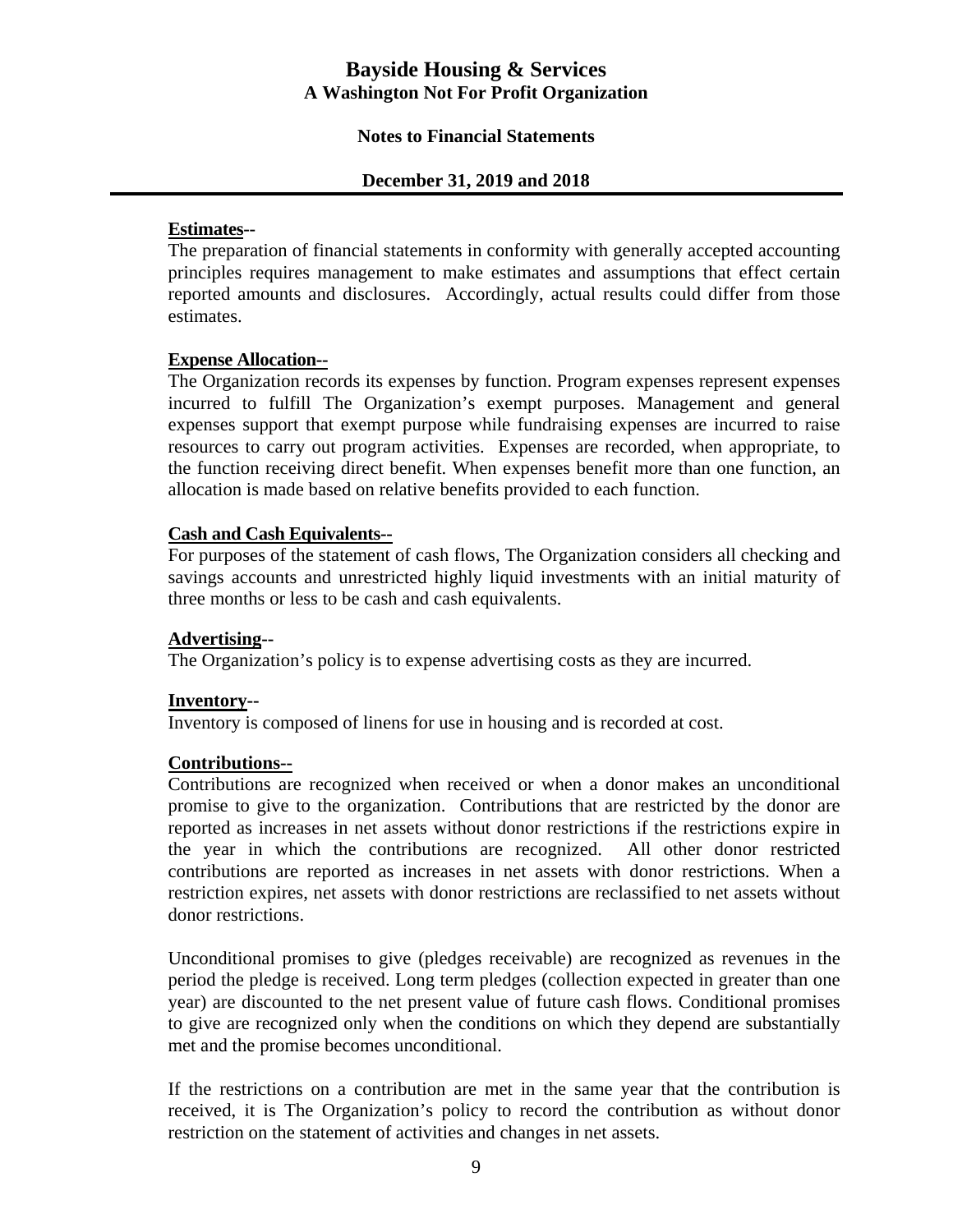#### **Notes to Financial Statements**

#### **December 31, 2019 and 2018**

#### **Estimates--**

 The preparation of financial statements in conformity with generally accepted accounting principles requires management to make estimates and assumptions that effect certain reported amounts and disclosures. Accordingly, actual results could differ from those estimates.

#### **Expense Allocation--**

 The Organization records its expenses by function. Program expenses represent expenses incurred to fulfill The Organization's exempt purposes. Management and general expenses support that exempt purpose while fundraising expenses are incurred to raise resources to carry out program activities. Expenses are recorded, when appropriate, to the function receiving direct benefit. When expenses benefit more than one function, an allocation is made based on relative benefits provided to each function.

#### **Cash and Cash Equivalents--**

 For purposes of the statement of cash flows, The Organization considers all checking and savings accounts and unrestricted highly liquid investments with an initial maturity of three months or less to be cash and cash equivalents.

#### **Advertising--**

The Organization's policy is to expense advertising costs as they are incurred.

#### **Inventory--**

Inventory is composed of linens for use in housing and is recorded at cost.

#### **Contributions--**

 Contributions are recognized when received or when a donor makes an unconditional promise to give to the organization. Contributions that are restricted by the donor are reported as increases in net assets without donor restrictions if the restrictions expire in the year in which the contributions are recognized. All other donor restricted contributions are reported as increases in net assets with donor restrictions. When a restriction expires, net assets with donor restrictions are reclassified to net assets without donor restrictions.

 Unconditional promises to give (pledges receivable) are recognized as revenues in the period the pledge is received. Long term pledges (collection expected in greater than one year) are discounted to the net present value of future cash flows. Conditional promises to give are recognized only when the conditions on which they depend are substantially met and the promise becomes unconditional.

 If the restrictions on a contribution are met in the same year that the contribution is received, it is The Organization's policy to record the contribution as without donor restriction on the statement of activities and changes in net assets.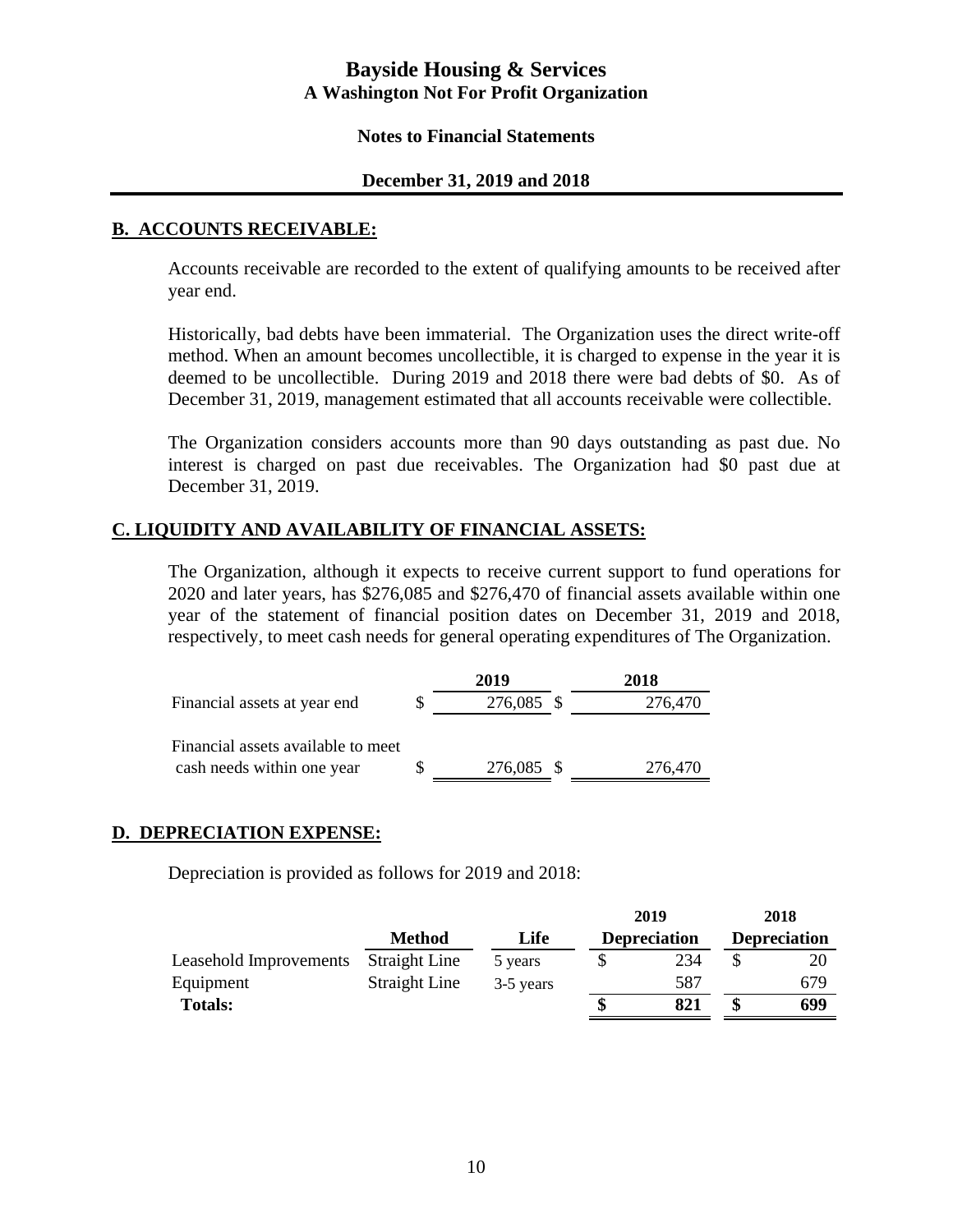#### **Notes to Financial Statements**

### **December 31, 2019 and 2018**

## **B. ACCOUNTS RECEIVABLE:**

Accounts receivable are recorded to the extent of qualifying amounts to be received after year end.

Historically, bad debts have been immaterial. The Organization uses the direct write-off method. When an amount becomes uncollectible, it is charged to expense in the year it is deemed to be uncollectible. During 2019 and 2018 there were bad debts of \$0. As of December 31, 2019, management estimated that all accounts receivable were collectible.

The Organization considers accounts more than 90 days outstanding as past due. No interest is charged on past due receivables. The Organization had \$0 past due at December 31, 2019.

### **C. LIQUIDITY AND AVAILABILITY OF FINANCIAL ASSETS:**

 The Organization, although it expects to receive current support to fund operations for 2020 and later years, has \$276,085 and \$276,470 of financial assets available within one year of the statement of financial position dates on December 31, 2019 and 2018, respectively, to meet cash needs for general operating expenditures of The Organization.

|                                    | 2019       | 2018    |
|------------------------------------|------------|---------|
| Financial assets at year end       | 276,085 \$ | 276,470 |
|                                    |            |         |
| Financial assets available to meet |            |         |
| cash needs within one year         | 276,085 \$ | 276,470 |

## **D. DEPRECIATION EXPENSE:**

Depreciation is provided as follows for 2019 and 2018:

|                        |                      |           | 2019                | 2018                |
|------------------------|----------------------|-----------|---------------------|---------------------|
|                        | <b>Method</b>        | Life      | <b>Depreciation</b> | <b>Depreciation</b> |
| Leasehold Improvements | <b>Straight Line</b> | 5 years   | \$<br>234           | 20                  |
| Equipment              | Straight Line        | 3-5 years | 587                 | 679                 |
| <b>Totals:</b>         |                      |           | 821                 | 699                 |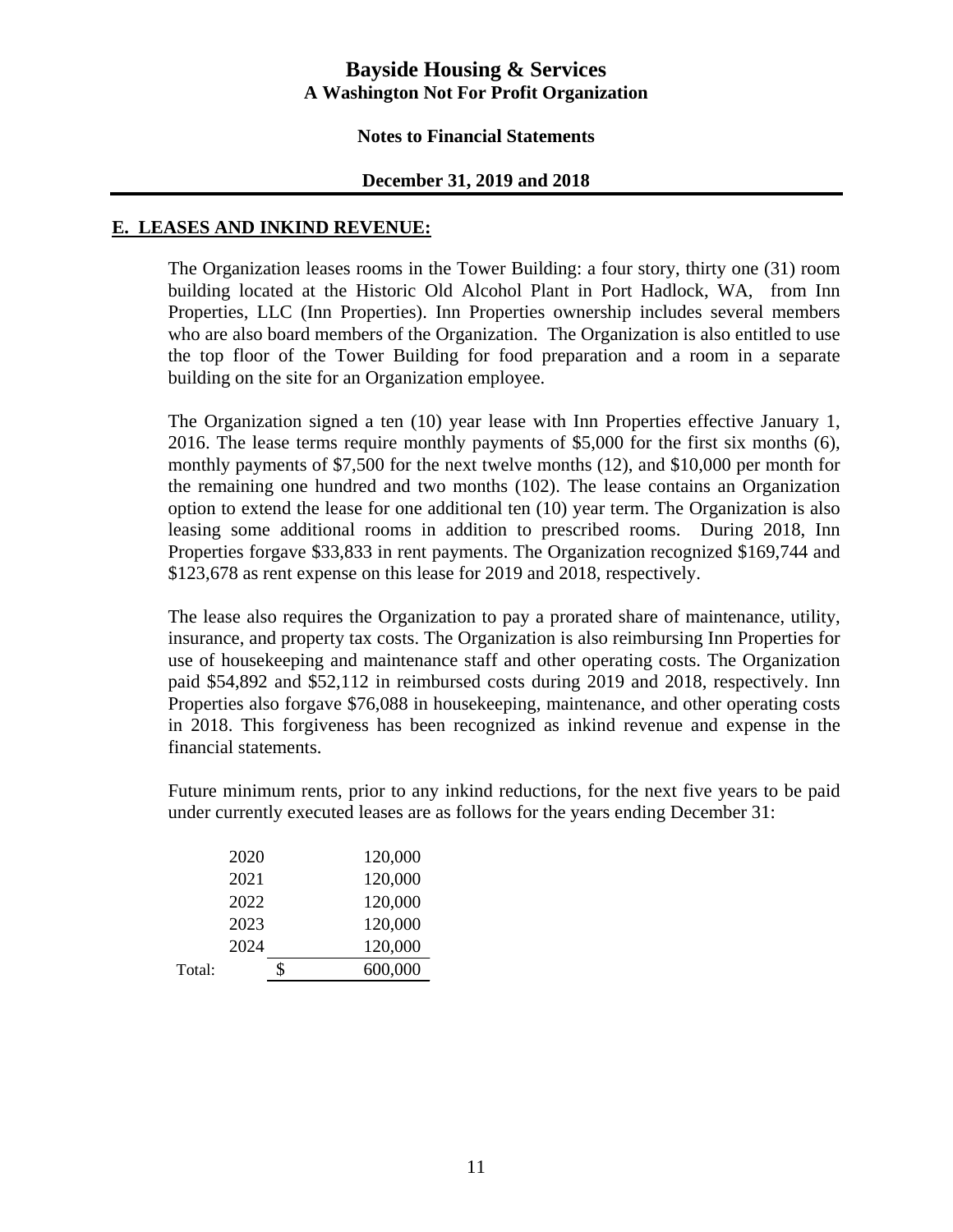#### **Notes to Financial Statements**

#### **December 31, 2019 and 2018**

#### **E. LEASES AND INKIND REVENUE:**

The Organization leases rooms in the Tower Building: a four story, thirty one (31) room building located at the Historic Old Alcohol Plant in Port Hadlock, WA, from Inn Properties, LLC (Inn Properties). Inn Properties ownership includes several members who are also board members of the Organization. The Organization is also entitled to use the top floor of the Tower Building for food preparation and a room in a separate building on the site for an Organization employee.

The Organization signed a ten (10) year lease with Inn Properties effective January 1, 2016. The lease terms require monthly payments of \$5,000 for the first six months (6), monthly payments of \$7,500 for the next twelve months (12), and \$10,000 per month for the remaining one hundred and two months (102). The lease contains an Organization option to extend the lease for one additional ten (10) year term. The Organization is also leasing some additional rooms in addition to prescribed rooms. During 2018, Inn Properties forgave \$33,833 in rent payments. The Organization recognized \$169,744 and \$123,678 as rent expense on this lease for 2019 and 2018, respectively.

The lease also requires the Organization to pay a prorated share of maintenance, utility, insurance, and property tax costs. The Organization is also reimbursing Inn Properties for use of housekeeping and maintenance staff and other operating costs. The Organization paid \$54,892 and \$52,112 in reimbursed costs during 2019 and 2018, respectively. Inn Properties also forgave \$76,088 in housekeeping, maintenance, and other operating costs in 2018. This forgiveness has been recognized as inkind revenue and expense in the financial statements.

Future minimum rents, prior to any inkind reductions, for the next five years to be paid under currently executed leases are as follows for the years ending December 31:

|        | 2020 | 120,000 |
|--------|------|---------|
|        | 2021 | 120,000 |
|        | 2022 | 120,000 |
|        | 2023 | 120,000 |
|        | 2024 | 120,000 |
| Total: |      | 600,000 |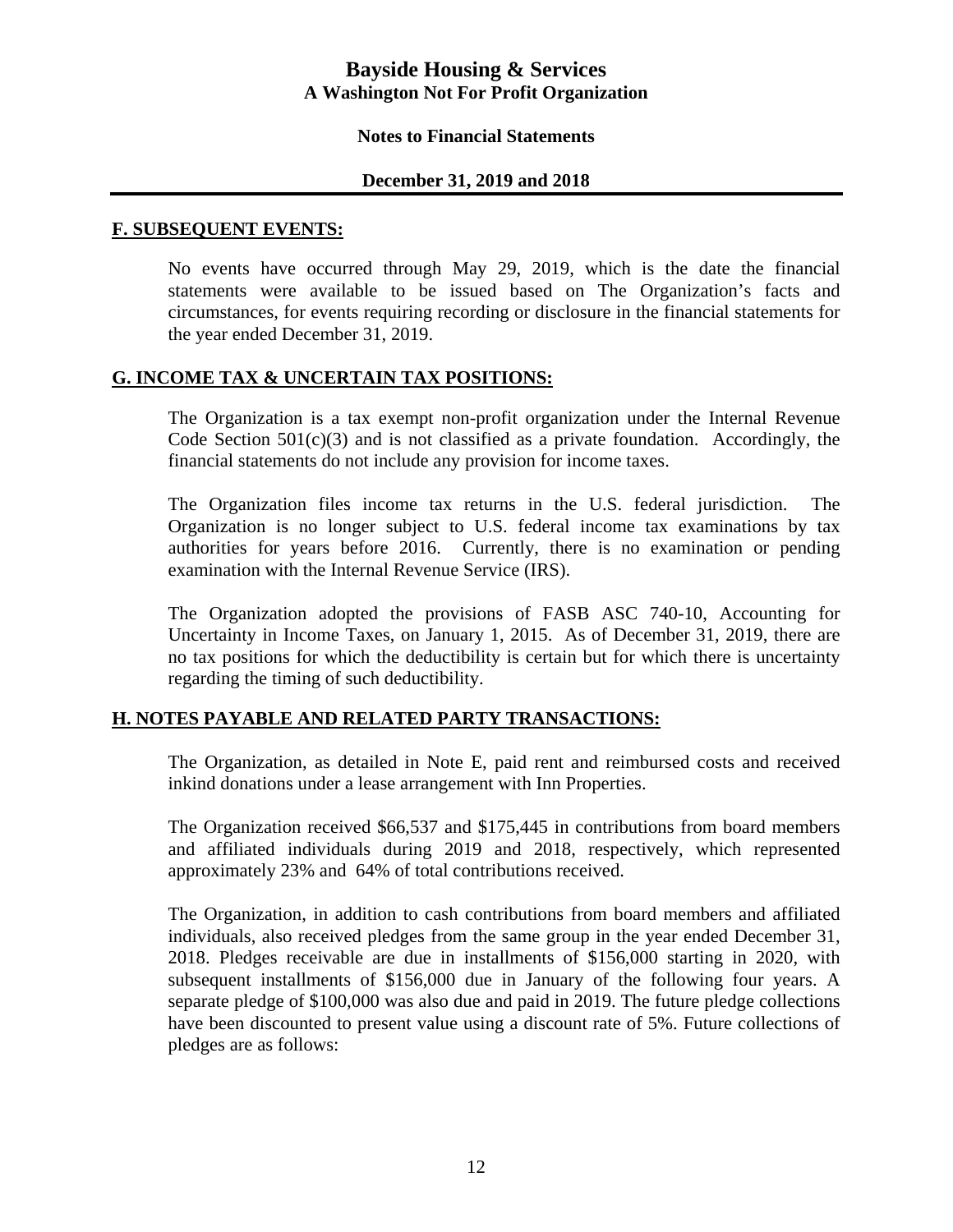#### **Notes to Financial Statements**

#### **December 31, 2019 and 2018**

#### **F. SUBSEQUENT EVENTS:**

No events have occurred through May 29, 2019, which is the date the financial statements were available to be issued based on The Organization's facts and circumstances, for events requiring recording or disclosure in the financial statements for the year ended December 31, 2019.

#### **G. INCOME TAX & UNCERTAIN TAX POSITIONS:**

The Organization is a tax exempt non-profit organization under the Internal Revenue Code Section  $501(c)(3)$  and is not classified as a private foundation. Accordingly, the financial statements do not include any provision for income taxes.

The Organization files income tax returns in the U.S. federal jurisdiction. The Organization is no longer subject to U.S. federal income tax examinations by tax authorities for years before 2016. Currently, there is no examination or pending examination with the Internal Revenue Service (IRS).

The Organization adopted the provisions of FASB ASC 740-10, Accounting for Uncertainty in Income Taxes, on January 1, 2015. As of December 31, 2019, there are no tax positions for which the deductibility is certain but for which there is uncertainty regarding the timing of such deductibility.

#### **H. NOTES PAYABLE AND RELATED PARTY TRANSACTIONS:**

The Organization, as detailed in Note E, paid rent and reimbursed costs and received inkind donations under a lease arrangement with Inn Properties.

The Organization received \$66,537 and \$175,445 in contributions from board members and affiliated individuals during 2019 and 2018, respectively, which represented approximately 23% and 64% of total contributions received.

The Organization, in addition to cash contributions from board members and affiliated individuals, also received pledges from the same group in the year ended December 31, 2018. Pledges receivable are due in installments of \$156,000 starting in 2020, with subsequent installments of \$156,000 due in January of the following four years. A separate pledge of \$100,000 was also due and paid in 2019. The future pledge collections have been discounted to present value using a discount rate of 5%. Future collections of pledges are as follows: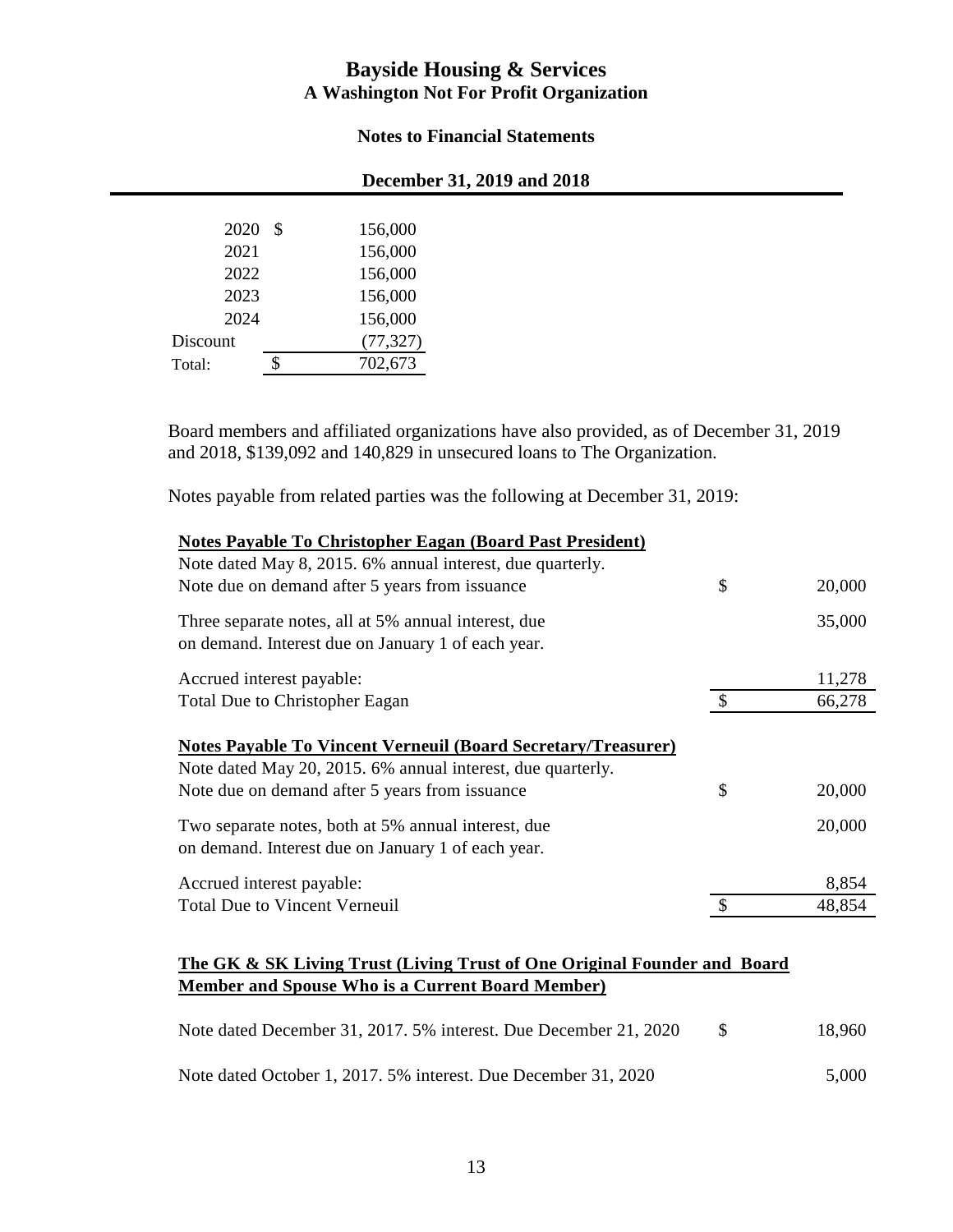### **Notes to Financial Statements**

| 2020     | S | 156,000   |
|----------|---|-----------|
| 2021     |   | 156,000   |
| 2022     |   | 156,000   |
| 2023     |   | 156,000   |
| 2024     |   | 156,000   |
| Discount |   | (77, 327) |
| Total:   |   | 702,673   |
|          |   |           |

#### **December 31, 2019 and 2018**

Board members and affiliated organizations have also provided, as of December 31, 2019 and 2018, \$139,092 and 140,829 in unsecured loans to The Organization.

Notes payable from related parties was the following at December 31, 2019:

| <b>Notes Payable To Christopher Eagan (Board Past President)</b><br>Note dated May 8, 2015. 6% annual interest, due quarterly.                                                        |                           |        |
|---------------------------------------------------------------------------------------------------------------------------------------------------------------------------------------|---------------------------|--------|
| Note due on demand after 5 years from issuance                                                                                                                                        | \$                        | 20,000 |
| Three separate notes, all at 5% annual interest, due<br>on demand. Interest due on January 1 of each year.                                                                            |                           | 35,000 |
| Accrued interest payable:                                                                                                                                                             |                           | 11,278 |
| <b>Total Due to Christopher Eagan</b>                                                                                                                                                 | $\boldsymbol{\mathsf{S}}$ | 66,278 |
| <b>Notes Payable To Vincent Verneuil (Board Secretary/Treasurer)</b><br>Note dated May 20, 2015. 6% annual interest, due quarterly.<br>Note due on demand after 5 years from issuance | \$                        | 20,000 |
| Two separate notes, both at 5% annual interest, due<br>on demand. Interest due on January 1 of each year.                                                                             |                           | 20,000 |
| Accrued interest payable:                                                                                                                                                             |                           | 8,854  |
| <b>Total Due to Vincent Verneuil</b>                                                                                                                                                  |                           | 48,854 |

## **The GK & SK Living Trust (Living Trust of One Original Founder and Board Member and Spouse Who is a Current Board Member)**

| Note dated December 31, 2017. 5% interest. Due December 21, 2020 | 18.960 |
|------------------------------------------------------------------|--------|
| Note dated October 1, 2017. 5% interest. Due December 31, 2020   | 5.000  |